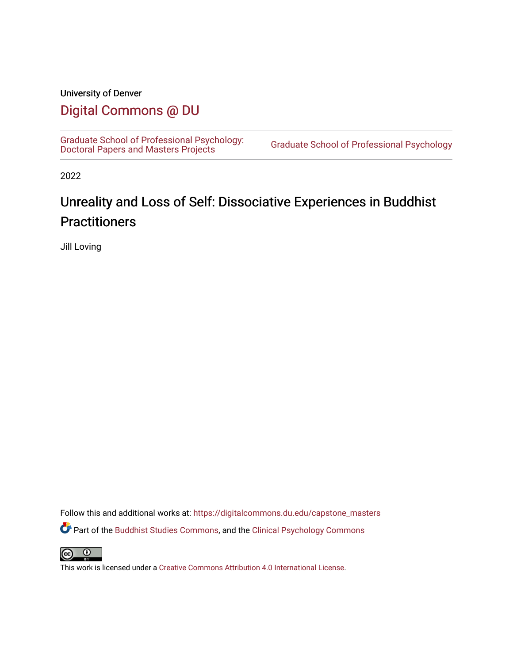# University of Denver

# [Digital Commons @ DU](https://digitalcommons.du.edu/)

[Graduate School of Professional Psychology:](https://digitalcommons.du.edu/capstone_masters) [Doctoral Papers and Masters Projects](https://digitalcommons.du.edu/capstone_masters) [Graduate School of Professional Psychology](https://digitalcommons.du.edu/gspp) 

2022

# Unreality and Loss of Self: Dissociative Experiences in Buddhist **Practitioners**

Jill Loving

Follow this and additional works at: [https://digitalcommons.du.edu/capstone\\_masters](https://digitalcommons.du.edu/capstone_masters?utm_source=digitalcommons.du.edu%2Fcapstone_masters%2F451&utm_medium=PDF&utm_campaign=PDFCoverPages) Part of the [Buddhist Studies Commons,](https://network.bepress.com/hgg/discipline/1344?utm_source=digitalcommons.du.edu%2Fcapstone_masters%2F451&utm_medium=PDF&utm_campaign=PDFCoverPages) and the [Clinical Psychology Commons](https://network.bepress.com/hgg/discipline/406?utm_source=digitalcommons.du.edu%2Fcapstone_masters%2F451&utm_medium=PDF&utm_campaign=PDFCoverPages) 

 $\bullet$  $\left($ 

This work is licensed under a [Creative Commons Attribution 4.0 International License](https://creativecommons.org/licenses/by/4.0/).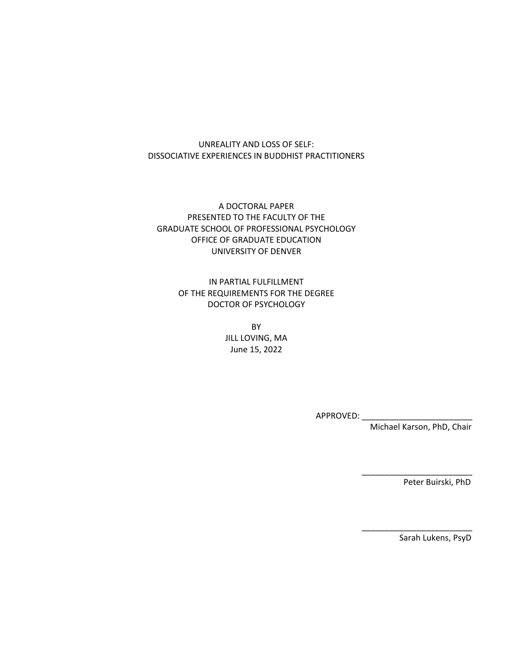### UNREALITY AND LOSS OF SELF: DISSOCIATIVE EXPERIENCES IN BUDDHIST PRACTITIONERS

A DOCTORAL PAPER PRESENTED TO THE FACULTY OF THE GRADUATE SCHOOL OF PROFESSIONAL PSYCHOLOGY OFFICE OF GRADUATE EDUCATION UNIVERSITY OF DENVER

> IN PARTIAL FULFILLMENT OF THE REQUIREMENTS FOR THE DEGREE DOCTOR OF PSYCHOLOGY

> > BY JILL LOVING, MA June 15, 2022

> > > APPROVED: \_\_

Michael Karson, PhD, Chair

 $\frac{1}{2}$  ,  $\frac{1}{2}$  ,  $\frac{1}{2}$  ,  $\frac{1}{2}$  ,  $\frac{1}{2}$  ,  $\frac{1}{2}$  ,  $\frac{1}{2}$  ,  $\frac{1}{2}$  ,  $\frac{1}{2}$  ,  $\frac{1}{2}$  ,  $\frac{1}{2}$  ,  $\frac{1}{2}$  ,  $\frac{1}{2}$  ,  $\frac{1}{2}$  ,  $\frac{1}{2}$  ,  $\frac{1}{2}$  ,  $\frac{1}{2}$  ,  $\frac{1}{2}$  ,  $\frac{1$ 

 $\frac{1}{2}$  ,  $\frac{1}{2}$  ,  $\frac{1}{2}$  ,  $\frac{1}{2}$  ,  $\frac{1}{2}$  ,  $\frac{1}{2}$  ,  $\frac{1}{2}$  ,  $\frac{1}{2}$  ,  $\frac{1}{2}$  ,  $\frac{1}{2}$  ,  $\frac{1}{2}$  ,  $\frac{1}{2}$  ,  $\frac{1}{2}$  ,  $\frac{1}{2}$  ,  $\frac{1}{2}$  ,  $\frac{1}{2}$  ,  $\frac{1}{2}$  ,  $\frac{1}{2}$  ,  $\frac{1$ 

Peter Buirski, PhD

Sarah Lukens, PsyD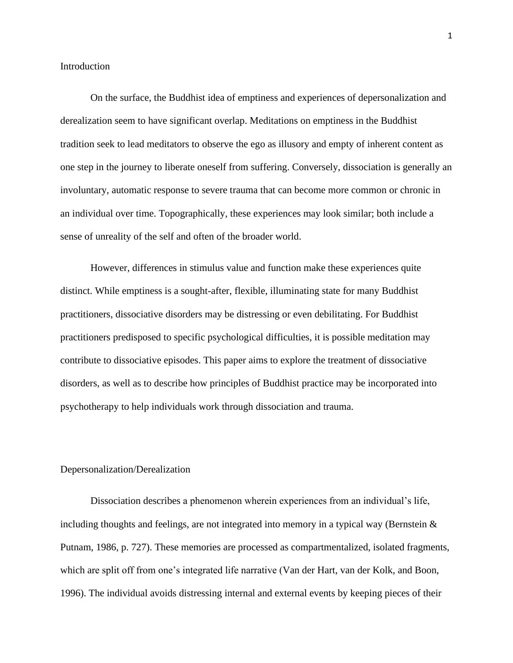#### **Introduction**

On the surface, the Buddhist idea of emptiness and experiences of depersonalization and derealization seem to have significant overlap. Meditations on emptiness in the Buddhist tradition seek to lead meditators to observe the ego as illusory and empty of inherent content as one step in the journey to liberate oneself from suffering. Conversely, dissociation is generally an involuntary, automatic response to severe trauma that can become more common or chronic in an individual over time. Topographically, these experiences may look similar; both include a sense of unreality of the self and often of the broader world.

However, differences in stimulus value and function make these experiences quite distinct. While emptiness is a sought-after, flexible, illuminating state for many Buddhist practitioners, dissociative disorders may be distressing or even debilitating. For Buddhist practitioners predisposed to specific psychological difficulties, it is possible meditation may contribute to dissociative episodes. This paper aims to explore the treatment of dissociative disorders, as well as to describe how principles of Buddhist practice may be incorporated into psychotherapy to help individuals work through dissociation and trauma.

#### Depersonalization/Derealization

Dissociation describes a phenomenon wherein experiences from an individual's life, including thoughts and feelings, are not integrated into memory in a typical way (Bernstein  $\&$ Putnam, 1986, p. 727). These memories are processed as compartmentalized, isolated fragments, which are split off from one's integrated life narrative (Van der Hart, van der Kolk, and Boon, 1996). The individual avoids distressing internal and external events by keeping pieces of their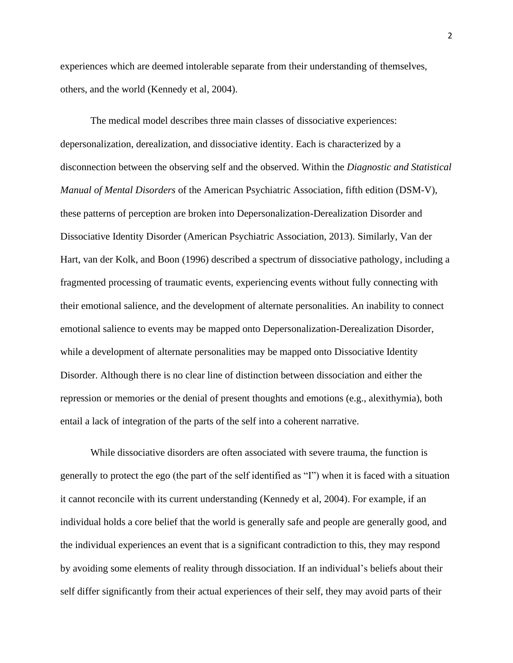experiences which are deemed intolerable separate from their understanding of themselves, others, and the world (Kennedy et al, 2004).

The medical model describes three main classes of dissociative experiences: depersonalization, derealization, and dissociative identity. Each is characterized by a disconnection between the observing self and the observed. Within the *Diagnostic and Statistical Manual of Mental Disorders* of the American Psychiatric Association, fifth edition (DSM-V), these patterns of perception are broken into Depersonalization-Derealization Disorder and Dissociative Identity Disorder (American Psychiatric Association, 2013). Similarly, Van der Hart, van der Kolk, and Boon (1996) described a spectrum of dissociative pathology, including a fragmented processing of traumatic events, experiencing events without fully connecting with their emotional salience, and the development of alternate personalities. An inability to connect emotional salience to events may be mapped onto Depersonalization-Derealization Disorder, while a development of alternate personalities may be mapped onto Dissociative Identity Disorder. Although there is no clear line of distinction between dissociation and either the repression or memories or the denial of present thoughts and emotions (e.g., alexithymia), both entail a lack of integration of the parts of the self into a coherent narrative.

While dissociative disorders are often associated with severe trauma, the function is generally to protect the ego (the part of the self identified as "I") when it is faced with a situation it cannot reconcile with its current understanding (Kennedy et al, 2004). For example, if an individual holds a core belief that the world is generally safe and people are generally good, and the individual experiences an event that is a significant contradiction to this, they may respond by avoiding some elements of reality through dissociation. If an individual's beliefs about their self differ significantly from their actual experiences of their self, they may avoid parts of their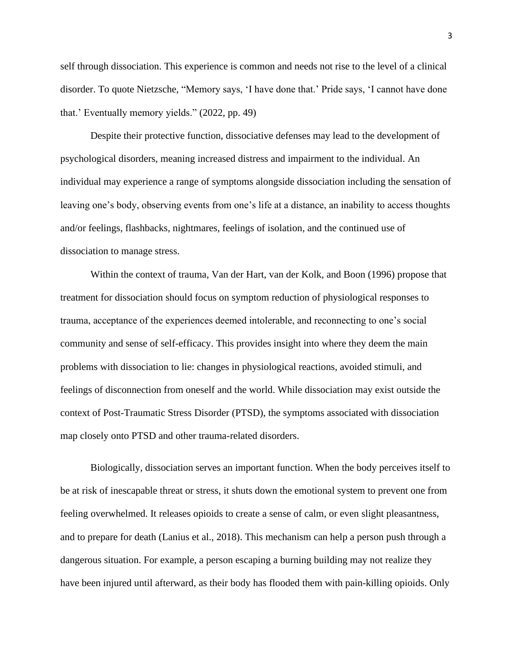self through dissociation. This experience is common and needs not rise to the level of a clinical disorder. To quote Nietzsche, "Memory says, 'I have done that.' Pride says, 'I cannot have done that.' Eventually memory yields." (2022, pp. 49)

Despite their protective function, dissociative defenses may lead to the development of psychological disorders, meaning increased distress and impairment to the individual. An individual may experience a range of symptoms alongside dissociation including the sensation of leaving one's body, observing events from one's life at a distance, an inability to access thoughts and/or feelings, flashbacks, nightmares, feelings of isolation, and the continued use of dissociation to manage stress.

Within the context of trauma, Van der Hart, van der Kolk, and Boon (1996) propose that treatment for dissociation should focus on symptom reduction of physiological responses to trauma, acceptance of the experiences deemed intolerable, and reconnecting to one's social community and sense of self-efficacy. This provides insight into where they deem the main problems with dissociation to lie: changes in physiological reactions, avoided stimuli, and feelings of disconnection from oneself and the world. While dissociation may exist outside the context of Post-Traumatic Stress Disorder (PTSD), the symptoms associated with dissociation map closely onto PTSD and other trauma-related disorders.

Biologically, dissociation serves an important function. When the body perceives itself to be at risk of inescapable threat or stress, it shuts down the emotional system to prevent one from feeling overwhelmed. It releases opioids to create a sense of calm, or even slight pleasantness, and to prepare for death (Lanius et al., 2018). This mechanism can help a person push through a dangerous situation. For example, a person escaping a burning building may not realize they have been injured until afterward, as their body has flooded them with pain-killing opioids. Only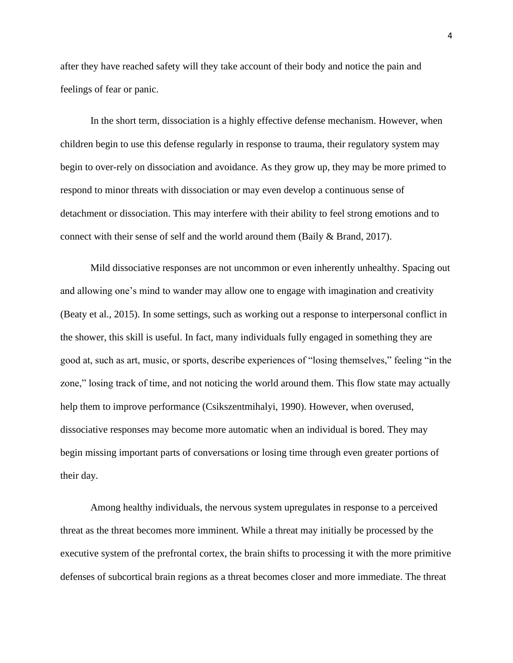after they have reached safety will they take account of their body and notice the pain and feelings of fear or panic.

In the short term, dissociation is a highly effective defense mechanism. However, when children begin to use this defense regularly in response to trauma, their regulatory system may begin to over-rely on dissociation and avoidance. As they grow up, they may be more primed to respond to minor threats with dissociation or may even develop a continuous sense of detachment or dissociation. This may interfere with their ability to feel strong emotions and to connect with their sense of self and the world around them (Baily & Brand, 2017).

Mild dissociative responses are not uncommon or even inherently unhealthy. Spacing out and allowing one's mind to wander may allow one to engage with imagination and creativity (Beaty et al., 2015). In some settings, such as working out a response to interpersonal conflict in the shower, this skill is useful. In fact, many individuals fully engaged in something they are good at, such as art, music, or sports, describe experiences of "losing themselves," feeling "in the zone," losing track of time, and not noticing the world around them. This flow state may actually help them to improve performance (Csikszentmihalyi, 1990). However, when overused, dissociative responses may become more automatic when an individual is bored. They may begin missing important parts of conversations or losing time through even greater portions of their day.

Among healthy individuals, the nervous system upregulates in response to a perceived threat as the threat becomes more imminent. While a threat may initially be processed by the executive system of the prefrontal cortex, the brain shifts to processing it with the more primitive defenses of subcortical brain regions as a threat becomes closer and more immediate. The threat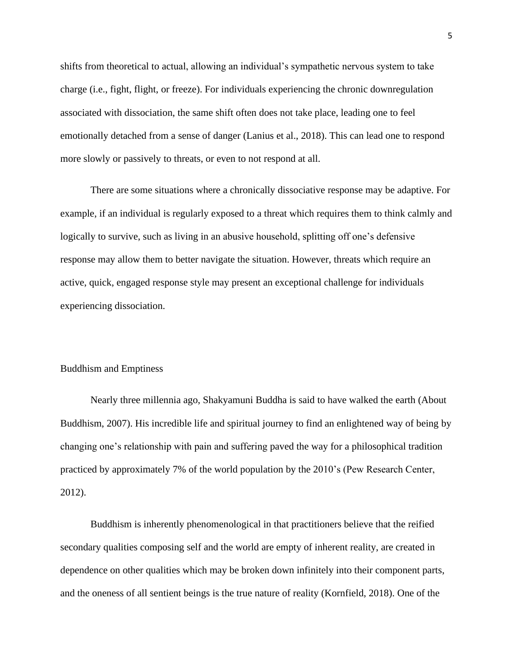shifts from theoretical to actual, allowing an individual's sympathetic nervous system to take charge (i.e., fight, flight, or freeze). For individuals experiencing the chronic downregulation associated with dissociation, the same shift often does not take place, leading one to feel emotionally detached from a sense of danger (Lanius et al., 2018). This can lead one to respond more slowly or passively to threats, or even to not respond at all.

There are some situations where a chronically dissociative response may be adaptive. For example, if an individual is regularly exposed to a threat which requires them to think calmly and logically to survive, such as living in an abusive household, splitting off one's defensive response may allow them to better navigate the situation. However, threats which require an active, quick, engaged response style may present an exceptional challenge for individuals experiencing dissociation.

#### Buddhism and Emptiness

Nearly three millennia ago, Shakyamuni Buddha is said to have walked the earth (About Buddhism, 2007). His incredible life and spiritual journey to find an enlightened way of being by changing one's relationship with pain and suffering paved the way for a philosophical tradition practiced by approximately 7% of the world population by the 2010's (Pew Research Center, 2012).

Buddhism is inherently phenomenological in that practitioners believe that the reified secondary qualities composing self and the world are empty of inherent reality, are created in dependence on other qualities which may be broken down infinitely into their component parts, and the oneness of all sentient beings is the true nature of reality (Kornfield, 2018). One of the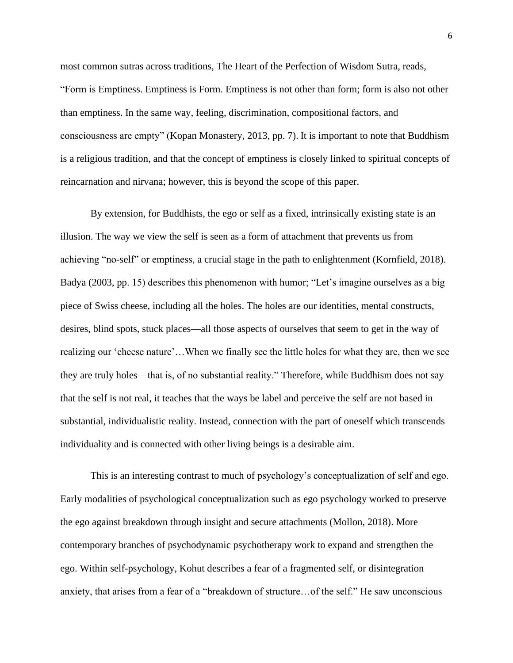most common sutras across traditions, The Heart of the Perfection of Wisdom Sutra, reads, "Form is Emptiness. Emptiness is Form. Emptiness is not other than form; form is also not other than emptiness. In the same way, feeling, discrimination, compositional factors, and consciousness are empty" (Kopan Monastery, 2013, pp. 7). It is important to note that Buddhism is a religious tradition, and that the concept of emptiness is closely linked to spiritual concepts of reincarnation and nirvana; however, this is beyond the scope of this paper.

By extension, for Buddhists, the ego or self as a fixed, intrinsically existing state is an illusion. The way we view the self is seen as a form of attachment that prevents us from achieving "no-self" or emptiness, a crucial stage in the path to enlightenment (Kornfield, 2018). Badya (2003, pp. 15) describes this phenomenon with humor; "Let's imagine ourselves as a big piece of Swiss cheese, including all the holes. The holes are our identities, mental constructs, desires, blind spots, stuck places—all those aspects of ourselves that seem to get in the way of realizing our 'cheese nature'…When we finally see the little holes for what they are, then we see they are truly holes—that is, of no substantial reality." Therefore, while Buddhism does not say that the self is not real, it teaches that the ways be label and perceive the self are not based in substantial, individualistic reality. Instead, connection with the part of oneself which transcends individuality and is connected with other living beings is a desirable aim.

This is an interesting contrast to much of psychology's conceptualization of self and ego. Early modalities of psychological conceptualization such as ego psychology worked to preserve the ego against breakdown through insight and secure attachments (Mollon, 2018). More contemporary branches of psychodynamic psychotherapy work to expand and strengthen the ego. Within self-psychology, Kohut describes a fear of a fragmented self, or disintegration anxiety, that arises from a fear of a "breakdown of structure…of the self." He saw unconscious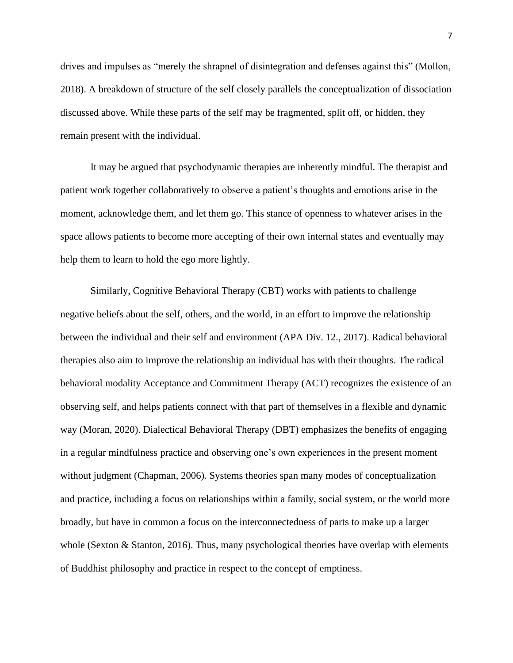drives and impulses as "merely the shrapnel of disintegration and defenses against this" (Mollon, 2018). A breakdown of structure of the self closely parallels the conceptualization of dissociation discussed above. While these parts of the self may be fragmented, split off, or hidden, they remain present with the individual.

It may be argued that psychodynamic therapies are inherently mindful. The therapist and patient work together collaboratively to observe a patient's thoughts and emotions arise in the moment, acknowledge them, and let them go. This stance of openness to whatever arises in the space allows patients to become more accepting of their own internal states and eventually may help them to learn to hold the ego more lightly.

Similarly, Cognitive Behavioral Therapy (CBT) works with patients to challenge negative beliefs about the self, others, and the world, in an effort to improve the relationship between the individual and their self and environment (APA Div. 12., 2017). Radical behavioral therapies also aim to improve the relationship an individual has with their thoughts. The radical behavioral modality Acceptance and Commitment Therapy (ACT) recognizes the existence of an observing self, and helps patients connect with that part of themselves in a flexible and dynamic way (Moran, 2020). Dialectical Behavioral Therapy (DBT) emphasizes the benefits of engaging in a regular mindfulness practice and observing one's own experiences in the present moment without judgment (Chapman, 2006). Systems theories span many modes of conceptualization and practice, including a focus on relationships within a family, social system, or the world more broadly, but have in common a focus on the interconnectedness of parts to make up a larger whole (Sexton  $\&$  Stanton, 2016). Thus, many psychological theories have overlap with elements of Buddhist philosophy and practice in respect to the concept of emptiness.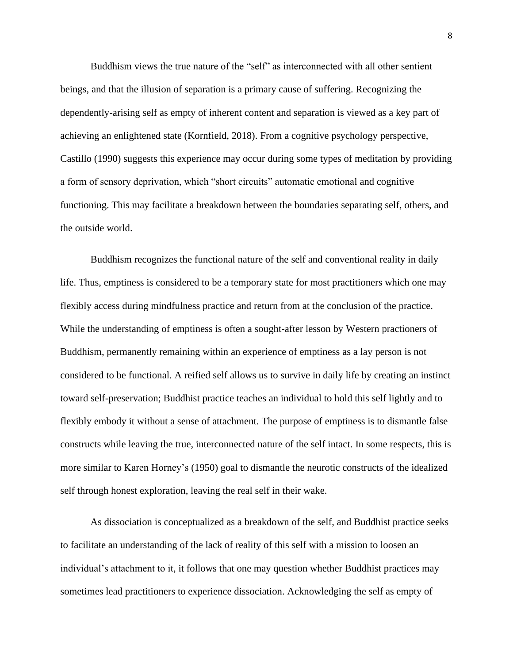Buddhism views the true nature of the "self" as interconnected with all other sentient beings, and that the illusion of separation is a primary cause of suffering. Recognizing the dependently-arising self as empty of inherent content and separation is viewed as a key part of achieving an enlightened state (Kornfield, 2018). From a cognitive psychology perspective, Castillo (1990) suggests this experience may occur during some types of meditation by providing a form of sensory deprivation, which "short circuits" automatic emotional and cognitive functioning. This may facilitate a breakdown between the boundaries separating self, others, and the outside world.

Buddhism recognizes the functional nature of the self and conventional reality in daily life. Thus, emptiness is considered to be a temporary state for most practitioners which one may flexibly access during mindfulness practice and return from at the conclusion of the practice. While the understanding of emptiness is often a sought-after lesson by Western practioners of Buddhism, permanently remaining within an experience of emptiness as a lay person is not considered to be functional. A reified self allows us to survive in daily life by creating an instinct toward self-preservation; Buddhist practice teaches an individual to hold this self lightly and to flexibly embody it without a sense of attachment. The purpose of emptiness is to dismantle false constructs while leaving the true, interconnected nature of the self intact. In some respects, this is more similar to Karen Horney's (1950) goal to dismantle the neurotic constructs of the idealized self through honest exploration, leaving the real self in their wake.

As dissociation is conceptualized as a breakdown of the self, and Buddhist practice seeks to facilitate an understanding of the lack of reality of this self with a mission to loosen an individual's attachment to it, it follows that one may question whether Buddhist practices may sometimes lead practitioners to experience dissociation. Acknowledging the self as empty of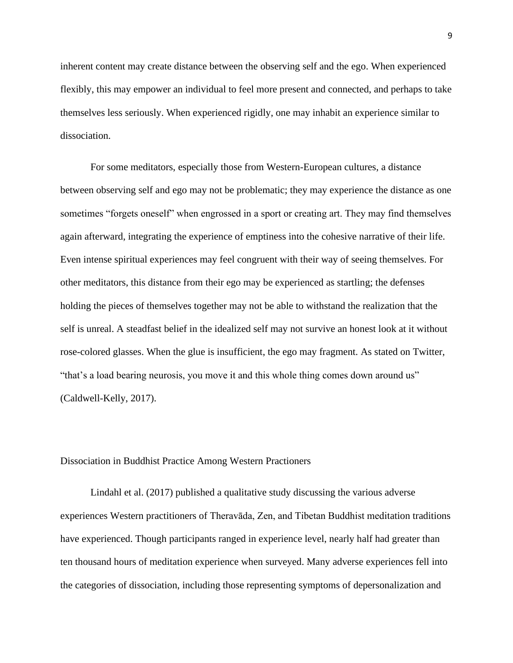inherent content may create distance between the observing self and the ego. When experienced flexibly, this may empower an individual to feel more present and connected, and perhaps to take themselves less seriously. When experienced rigidly, one may inhabit an experience similar to dissociation.

For some meditators, especially those from Western-European cultures, a distance between observing self and ego may not be problematic; they may experience the distance as one sometimes "forgets oneself" when engrossed in a sport or creating art. They may find themselves again afterward, integrating the experience of emptiness into the cohesive narrative of their life. Even intense spiritual experiences may feel congruent with their way of seeing themselves. For other meditators, this distance from their ego may be experienced as startling; the defenses holding the pieces of themselves together may not be able to withstand the realization that the self is unreal. A steadfast belief in the idealized self may not survive an honest look at it without rose-colored glasses. When the glue is insufficient, the ego may fragment. As stated on Twitter, "that's a load bearing neurosis, you move it and this whole thing comes down around us" (Caldwell-Kelly, 2017).

#### Dissociation in Buddhist Practice Among Western Practioners

Lindahl et al. (2017) published a qualitative study discussing the various adverse experiences Western practitioners of Theravāda, Zen, and Tibetan Buddhist meditation traditions have experienced. Though participants ranged in experience level, nearly half had greater than ten thousand hours of meditation experience when surveyed. Many adverse experiences fell into the categories of dissociation, including those representing symptoms of depersonalization and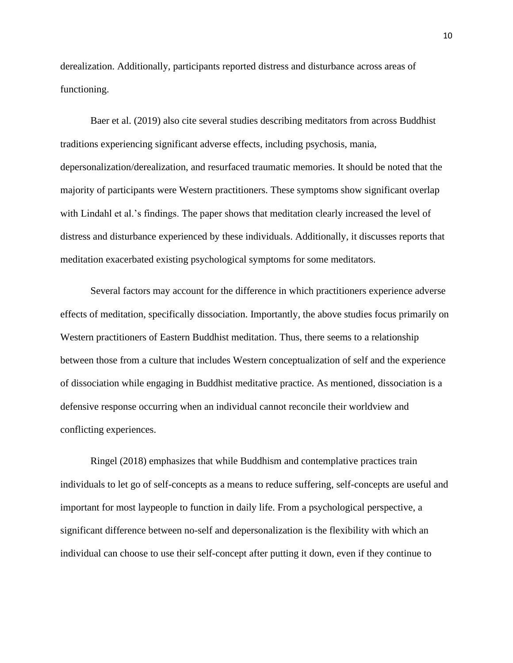derealization. Additionally, participants reported distress and disturbance across areas of functioning.

Baer et al. (2019) also cite several studies describing meditators from across Buddhist traditions experiencing significant adverse effects, including psychosis, mania, depersonalization/derealization, and resurfaced traumatic memories. It should be noted that the majority of participants were Western practitioners. These symptoms show significant overlap with Lindahl et al.'s findings. The paper shows that meditation clearly increased the level of distress and disturbance experienced by these individuals. Additionally, it discusses reports that meditation exacerbated existing psychological symptoms for some meditators.

Several factors may account for the difference in which practitioners experience adverse effects of meditation, specifically dissociation. Importantly, the above studies focus primarily on Western practitioners of Eastern Buddhist meditation. Thus, there seems to a relationship between those from a culture that includes Western conceptualization of self and the experience of dissociation while engaging in Buddhist meditative practice. As mentioned, dissociation is a defensive response occurring when an individual cannot reconcile their worldview and conflicting experiences.

Ringel (2018) emphasizes that while Buddhism and contemplative practices train individuals to let go of self-concepts as a means to reduce suffering, self-concepts are useful and important for most laypeople to function in daily life. From a psychological perspective, a significant difference between no-self and depersonalization is the flexibility with which an individual can choose to use their self-concept after putting it down, even if they continue to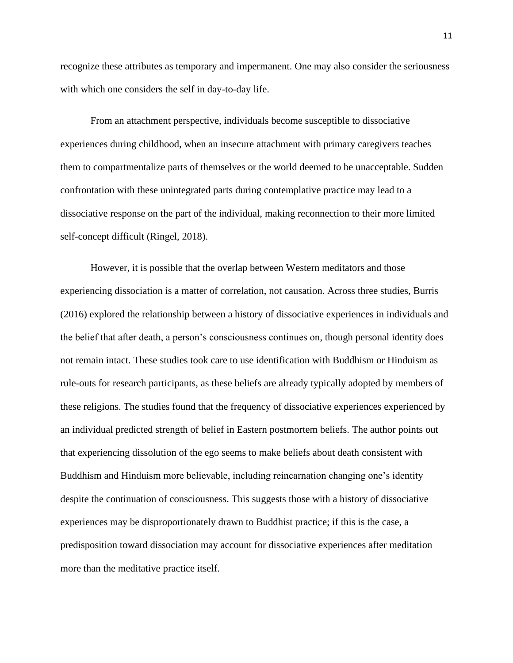recognize these attributes as temporary and impermanent. One may also consider the seriousness with which one considers the self in day-to-day life.

From an attachment perspective, individuals become susceptible to dissociative experiences during childhood, when an insecure attachment with primary caregivers teaches them to compartmentalize parts of themselves or the world deemed to be unacceptable. Sudden confrontation with these unintegrated parts during contemplative practice may lead to a dissociative response on the part of the individual, making reconnection to their more limited self-concept difficult (Ringel, 2018).

However, it is possible that the overlap between Western meditators and those experiencing dissociation is a matter of correlation, not causation. Across three studies, Burris (2016) explored the relationship between a history of dissociative experiences in individuals and the belief that after death, a person's consciousness continues on, though personal identity does not remain intact. These studies took care to use identification with Buddhism or Hinduism as rule-outs for research participants, as these beliefs are already typically adopted by members of these religions. The studies found that the frequency of dissociative experiences experienced by an individual predicted strength of belief in Eastern postmortem beliefs. The author points out that experiencing dissolution of the ego seems to make beliefs about death consistent with Buddhism and Hinduism more believable, including reincarnation changing one's identity despite the continuation of consciousness. This suggests those with a history of dissociative experiences may be disproportionately drawn to Buddhist practice; if this is the case, a predisposition toward dissociation may account for dissociative experiences after meditation more than the meditative practice itself.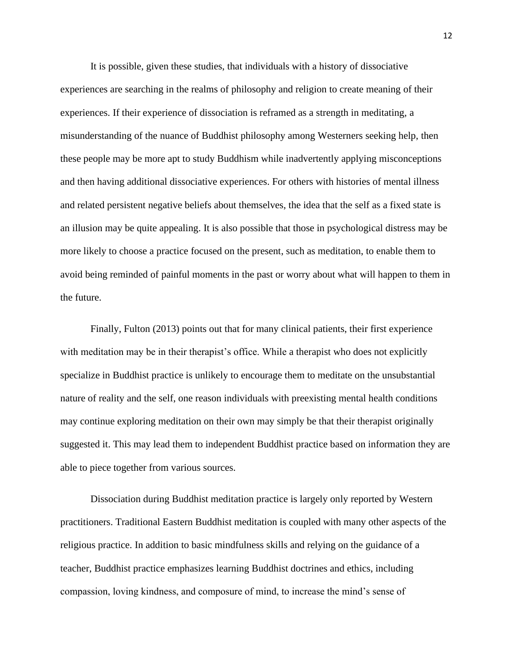It is possible, given these studies, that individuals with a history of dissociative experiences are searching in the realms of philosophy and religion to create meaning of their experiences. If their experience of dissociation is reframed as a strength in meditating, a misunderstanding of the nuance of Buddhist philosophy among Westerners seeking help, then these people may be more apt to study Buddhism while inadvertently applying misconceptions and then having additional dissociative experiences. For others with histories of mental illness and related persistent negative beliefs about themselves, the idea that the self as a fixed state is an illusion may be quite appealing. It is also possible that those in psychological distress may be more likely to choose a practice focused on the present, such as meditation, to enable them to avoid being reminded of painful moments in the past or worry about what will happen to them in the future.

Finally, Fulton (2013) points out that for many clinical patients, their first experience with meditation may be in their therapist's office. While a therapist who does not explicitly specialize in Buddhist practice is unlikely to encourage them to meditate on the unsubstantial nature of reality and the self, one reason individuals with preexisting mental health conditions may continue exploring meditation on their own may simply be that their therapist originally suggested it. This may lead them to independent Buddhist practice based on information they are able to piece together from various sources.

Dissociation during Buddhist meditation practice is largely only reported by Western practitioners. Traditional Eastern Buddhist meditation is coupled with many other aspects of the religious practice. In addition to basic mindfulness skills and relying on the guidance of a teacher, Buddhist practice emphasizes learning Buddhist doctrines and ethics, including compassion, loving kindness, and composure of mind, to increase the mind's sense of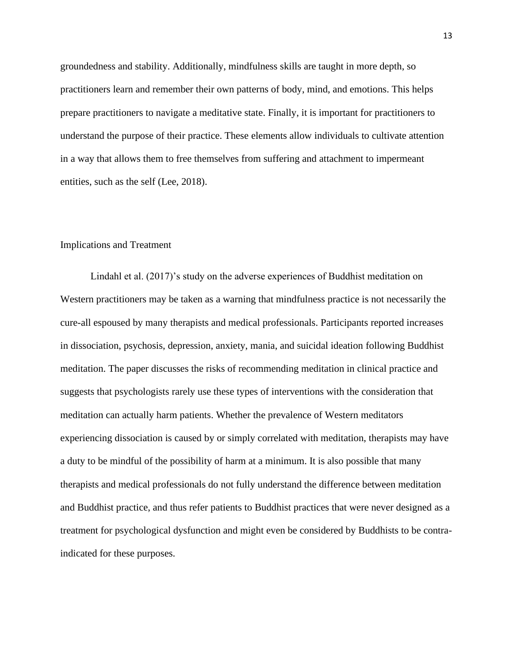groundedness and stability. Additionally, mindfulness skills are taught in more depth, so practitioners learn and remember their own patterns of body, mind, and emotions. This helps prepare practitioners to navigate a meditative state. Finally, it is important for practitioners to understand the purpose of their practice. These elements allow individuals to cultivate attention in a way that allows them to free themselves from suffering and attachment to impermeant entities, such as the self (Lee, 2018).

#### Implications and Treatment

Lindahl et al. (2017)'s study on the adverse experiences of Buddhist meditation on Western practitioners may be taken as a warning that mindfulness practice is not necessarily the cure-all espoused by many therapists and medical professionals. Participants reported increases in dissociation, psychosis, depression, anxiety, mania, and suicidal ideation following Buddhist meditation. The paper discusses the risks of recommending meditation in clinical practice and suggests that psychologists rarely use these types of interventions with the consideration that meditation can actually harm patients. Whether the prevalence of Western meditators experiencing dissociation is caused by or simply correlated with meditation, therapists may have a duty to be mindful of the possibility of harm at a minimum. It is also possible that many therapists and medical professionals do not fully understand the difference between meditation and Buddhist practice, and thus refer patients to Buddhist practices that were never designed as a treatment for psychological dysfunction and might even be considered by Buddhists to be contraindicated for these purposes.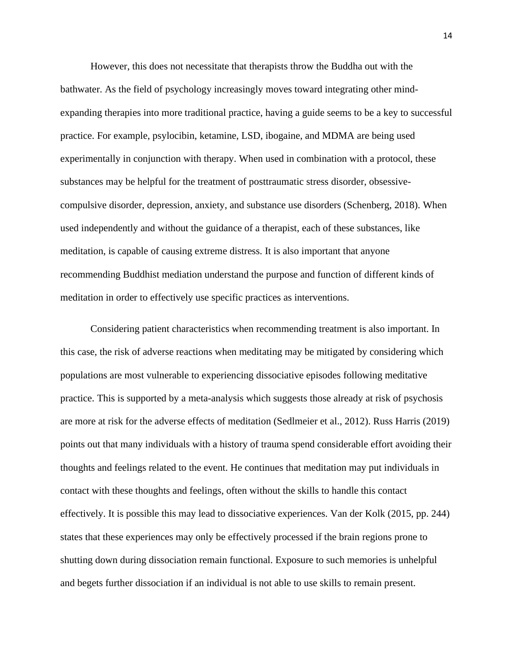However, this does not necessitate that therapists throw the Buddha out with the bathwater. As the field of psychology increasingly moves toward integrating other mindexpanding therapies into more traditional practice, having a guide seems to be a key to successful practice. For example, psylocibin, ketamine, LSD, ibogaine, and MDMA are being used experimentally in conjunction with therapy. When used in combination with a protocol, these substances may be helpful for the treatment of posttraumatic stress disorder, obsessivecompulsive disorder, depression, anxiety, and substance use disorders (Schenberg, 2018). When used independently and without the guidance of a therapist, each of these substances, like meditation, is capable of causing extreme distress. It is also important that anyone recommending Buddhist mediation understand the purpose and function of different kinds of meditation in order to effectively use specific practices as interventions.

Considering patient characteristics when recommending treatment is also important. In this case, the risk of adverse reactions when meditating may be mitigated by considering which populations are most vulnerable to experiencing dissociative episodes following meditative practice. This is supported by a meta-analysis which suggests those already at risk of psychosis are more at risk for the adverse effects of meditation (Sedlmeier et al., 2012). Russ Harris (2019) points out that many individuals with a history of trauma spend considerable effort avoiding their thoughts and feelings related to the event. He continues that meditation may put individuals in contact with these thoughts and feelings, often without the skills to handle this contact effectively. It is possible this may lead to dissociative experiences. Van der Kolk (2015, pp. 244) states that these experiences may only be effectively processed if the brain regions prone to shutting down during dissociation remain functional. Exposure to such memories is unhelpful and begets further dissociation if an individual is not able to use skills to remain present.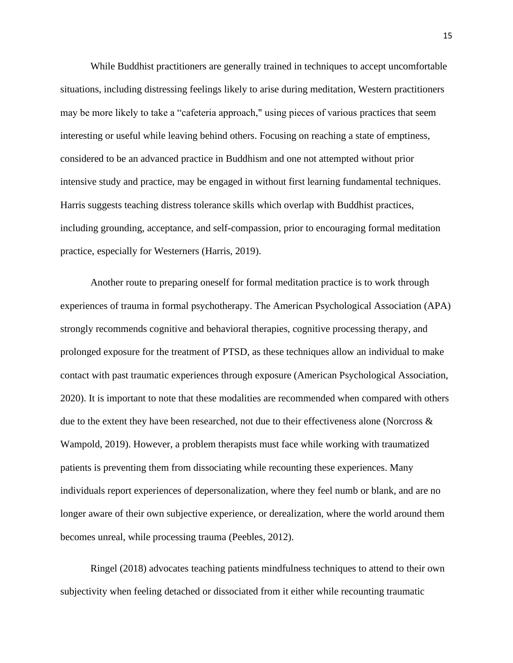While Buddhist practitioners are generally trained in techniques to accept uncomfortable situations, including distressing feelings likely to arise during meditation, Western practitioners may be more likely to take a "cafeteria approach," using pieces of various practices that seem interesting or useful while leaving behind others. Focusing on reaching a state of emptiness, considered to be an advanced practice in Buddhism and one not attempted without prior intensive study and practice, may be engaged in without first learning fundamental techniques. Harris suggests teaching distress tolerance skills which overlap with Buddhist practices, including grounding, acceptance, and self-compassion, prior to encouraging formal meditation practice, especially for Westerners (Harris, 2019).

Another route to preparing oneself for formal meditation practice is to work through experiences of trauma in formal psychotherapy. The American Psychological Association (APA) strongly recommends cognitive and behavioral therapies, cognitive processing therapy, and prolonged exposure for the treatment of PTSD, as these techniques allow an individual to make contact with past traumatic experiences through exposure (American Psychological Association, 2020). It is important to note that these modalities are recommended when compared with others due to the extent they have been researched, not due to their effectiveness alone (Norcross & Wampold, 2019). However, a problem therapists must face while working with traumatized patients is preventing them from dissociating while recounting these experiences. Many individuals report experiences of depersonalization, where they feel numb or blank, and are no longer aware of their own subjective experience, or derealization, where the world around them becomes unreal, while processing trauma (Peebles, 2012).

Ringel (2018) advocates teaching patients mindfulness techniques to attend to their own subjectivity when feeling detached or dissociated from it either while recounting traumatic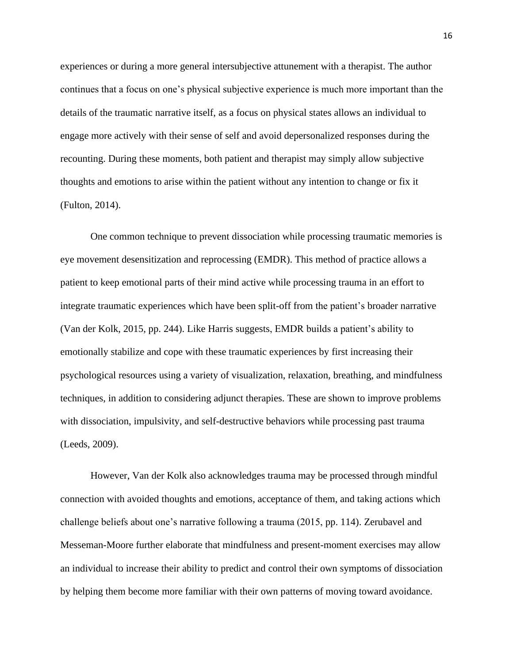experiences or during a more general intersubjective attunement with a therapist. The author continues that a focus on one's physical subjective experience is much more important than the details of the traumatic narrative itself, as a focus on physical states allows an individual to engage more actively with their sense of self and avoid depersonalized responses during the recounting. During these moments, both patient and therapist may simply allow subjective thoughts and emotions to arise within the patient without any intention to change or fix it (Fulton, 2014).

One common technique to prevent dissociation while processing traumatic memories is eye movement desensitization and reprocessing (EMDR). This method of practice allows a patient to keep emotional parts of their mind active while processing trauma in an effort to integrate traumatic experiences which have been split-off from the patient's broader narrative (Van der Kolk, 2015, pp. 244). Like Harris suggests, EMDR builds a patient's ability to emotionally stabilize and cope with these traumatic experiences by first increasing their psychological resources using a variety of visualization, relaxation, breathing, and mindfulness techniques, in addition to considering adjunct therapies. These are shown to improve problems with dissociation, impulsivity, and self-destructive behaviors while processing past trauma (Leeds, 2009).

However, Van der Kolk also acknowledges trauma may be processed through mindful connection with avoided thoughts and emotions, acceptance of them, and taking actions which challenge beliefs about one's narrative following a trauma (2015, pp. 114). Zerubavel and Messeman-Moore further elaborate that mindfulness and present-moment exercises may allow an individual to increase their ability to predict and control their own symptoms of dissociation by helping them become more familiar with their own patterns of moving toward avoidance.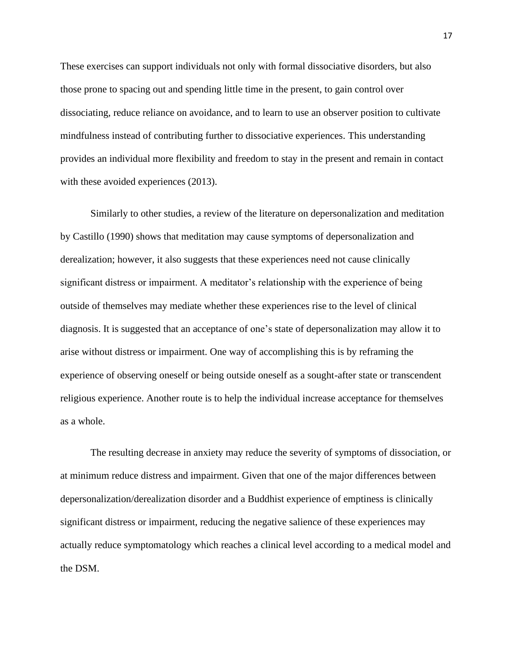These exercises can support individuals not only with formal dissociative disorders, but also those prone to spacing out and spending little time in the present, to gain control over dissociating, reduce reliance on avoidance, and to learn to use an observer position to cultivate mindfulness instead of contributing further to dissociative experiences. This understanding provides an individual more flexibility and freedom to stay in the present and remain in contact with these avoided experiences (2013).

Similarly to other studies, a review of the literature on depersonalization and meditation by Castillo (1990) shows that meditation may cause symptoms of depersonalization and derealization; however, it also suggests that these experiences need not cause clinically significant distress or impairment. A meditator's relationship with the experience of being outside of themselves may mediate whether these experiences rise to the level of clinical diagnosis. It is suggested that an acceptance of one's state of depersonalization may allow it to arise without distress or impairment. One way of accomplishing this is by reframing the experience of observing oneself or being outside oneself as a sought-after state or transcendent religious experience. Another route is to help the individual increase acceptance for themselves as a whole.

The resulting decrease in anxiety may reduce the severity of symptoms of dissociation, or at minimum reduce distress and impairment. Given that one of the major differences between depersonalization/derealization disorder and a Buddhist experience of emptiness is clinically significant distress or impairment, reducing the negative salience of these experiences may actually reduce symptomatology which reaches a clinical level according to a medical model and the DSM.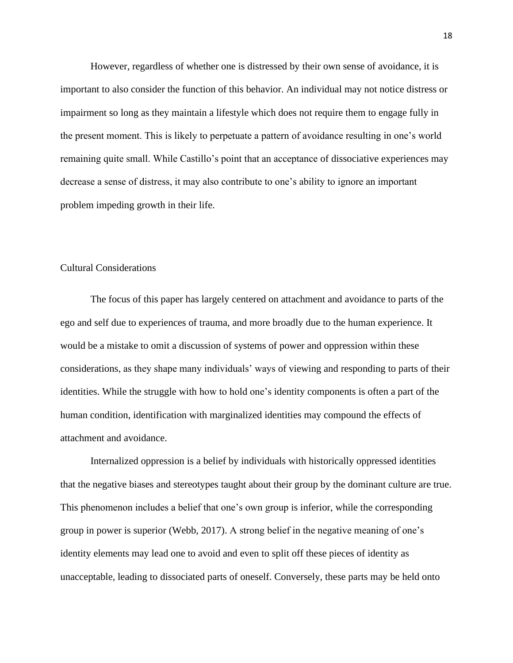However, regardless of whether one is distressed by their own sense of avoidance, it is important to also consider the function of this behavior. An individual may not notice distress or impairment so long as they maintain a lifestyle which does not require them to engage fully in the present moment. This is likely to perpetuate a pattern of avoidance resulting in one's world remaining quite small. While Castillo's point that an acceptance of dissociative experiences may decrease a sense of distress, it may also contribute to one's ability to ignore an important problem impeding growth in their life.

# Cultural Considerations

The focus of this paper has largely centered on attachment and avoidance to parts of the ego and self due to experiences of trauma, and more broadly due to the human experience. It would be a mistake to omit a discussion of systems of power and oppression within these considerations, as they shape many individuals' ways of viewing and responding to parts of their identities. While the struggle with how to hold one's identity components is often a part of the human condition, identification with marginalized identities may compound the effects of attachment and avoidance.

Internalized oppression is a belief by individuals with historically oppressed identities that the negative biases and stereotypes taught about their group by the dominant culture are true. This phenomenon includes a belief that one's own group is inferior, while the corresponding group in power is superior (Webb, 2017). A strong belief in the negative meaning of one's identity elements may lead one to avoid and even to split off these pieces of identity as unacceptable, leading to dissociated parts of oneself. Conversely, these parts may be held onto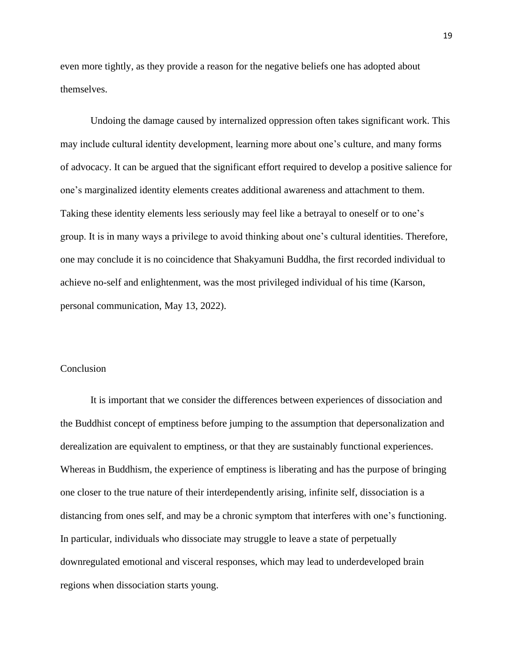even more tightly, as they provide a reason for the negative beliefs one has adopted about themselves.

Undoing the damage caused by internalized oppression often takes significant work. This may include cultural identity development, learning more about one's culture, and many forms of advocacy. It can be argued that the significant effort required to develop a positive salience for one's marginalized identity elements creates additional awareness and attachment to them. Taking these identity elements less seriously may feel like a betrayal to oneself or to one's group. It is in many ways a privilege to avoid thinking about one's cultural identities. Therefore, one may conclude it is no coincidence that Shakyamuni Buddha, the first recorded individual to achieve no-self and enlightenment, was the most privileged individual of his time (Karson, personal communication, May 13, 2022).

#### Conclusion

It is important that we consider the differences between experiences of dissociation and the Buddhist concept of emptiness before jumping to the assumption that depersonalization and derealization are equivalent to emptiness, or that they are sustainably functional experiences. Whereas in Buddhism, the experience of emptiness is liberating and has the purpose of bringing one closer to the true nature of their interdependently arising, infinite self, dissociation is a distancing from ones self, and may be a chronic symptom that interferes with one's functioning. In particular, individuals who dissociate may struggle to leave a state of perpetually downregulated emotional and visceral responses, which may lead to underdeveloped brain regions when dissociation starts young.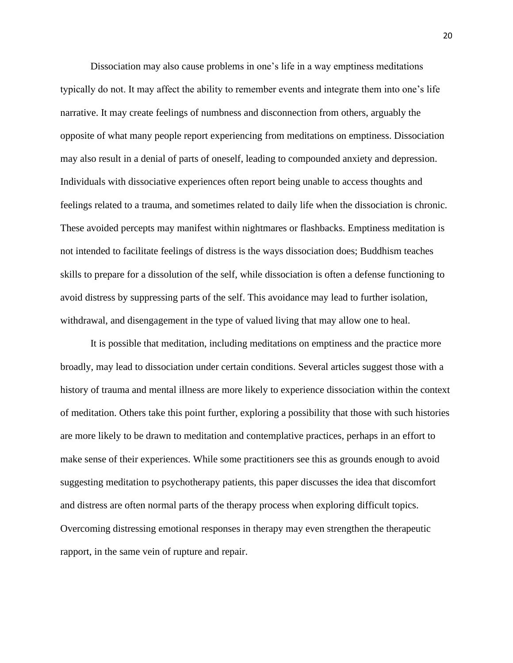Dissociation may also cause problems in one's life in a way emptiness meditations typically do not. It may affect the ability to remember events and integrate them into one's life narrative. It may create feelings of numbness and disconnection from others, arguably the opposite of what many people report experiencing from meditations on emptiness. Dissociation may also result in a denial of parts of oneself, leading to compounded anxiety and depression. Individuals with dissociative experiences often report being unable to access thoughts and feelings related to a trauma, and sometimes related to daily life when the dissociation is chronic. These avoided percepts may manifest within nightmares or flashbacks. Emptiness meditation is not intended to facilitate feelings of distress is the ways dissociation does; Buddhism teaches skills to prepare for a dissolution of the self, while dissociation is often a defense functioning to avoid distress by suppressing parts of the self. This avoidance may lead to further isolation, withdrawal, and disengagement in the type of valued living that may allow one to heal.

It is possible that meditation, including meditations on emptiness and the practice more broadly, may lead to dissociation under certain conditions. Several articles suggest those with a history of trauma and mental illness are more likely to experience dissociation within the context of meditation. Others take this point further, exploring a possibility that those with such histories are more likely to be drawn to meditation and contemplative practices, perhaps in an effort to make sense of their experiences. While some practitioners see this as grounds enough to avoid suggesting meditation to psychotherapy patients, this paper discusses the idea that discomfort and distress are often normal parts of the therapy process when exploring difficult topics. Overcoming distressing emotional responses in therapy may even strengthen the therapeutic rapport, in the same vein of rupture and repair.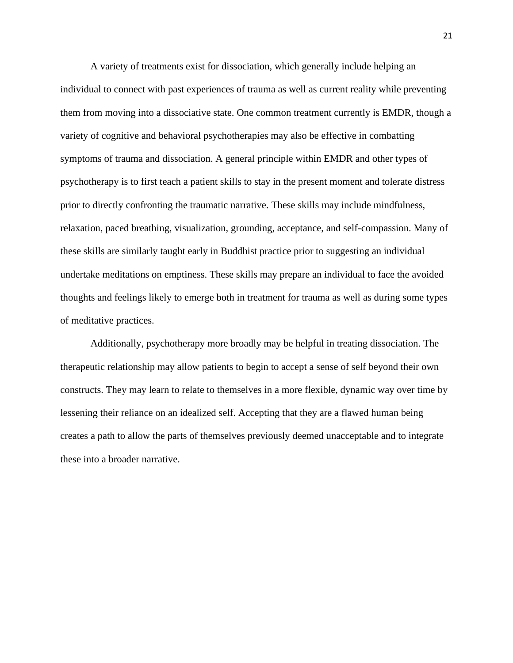A variety of treatments exist for dissociation, which generally include helping an individual to connect with past experiences of trauma as well as current reality while preventing them from moving into a dissociative state. One common treatment currently is EMDR, though a variety of cognitive and behavioral psychotherapies may also be effective in combatting symptoms of trauma and dissociation. A general principle within EMDR and other types of psychotherapy is to first teach a patient skills to stay in the present moment and tolerate distress prior to directly confronting the traumatic narrative. These skills may include mindfulness, relaxation, paced breathing, visualization, grounding, acceptance, and self-compassion. Many of these skills are similarly taught early in Buddhist practice prior to suggesting an individual undertake meditations on emptiness. These skills may prepare an individual to face the avoided thoughts and feelings likely to emerge both in treatment for trauma as well as during some types of meditative practices.

Additionally, psychotherapy more broadly may be helpful in treating dissociation. The therapeutic relationship may allow patients to begin to accept a sense of self beyond their own constructs. They may learn to relate to themselves in a more flexible, dynamic way over time by lessening their reliance on an idealized self. Accepting that they are a flawed human being creates a path to allow the parts of themselves previously deemed unacceptable and to integrate these into a broader narrative.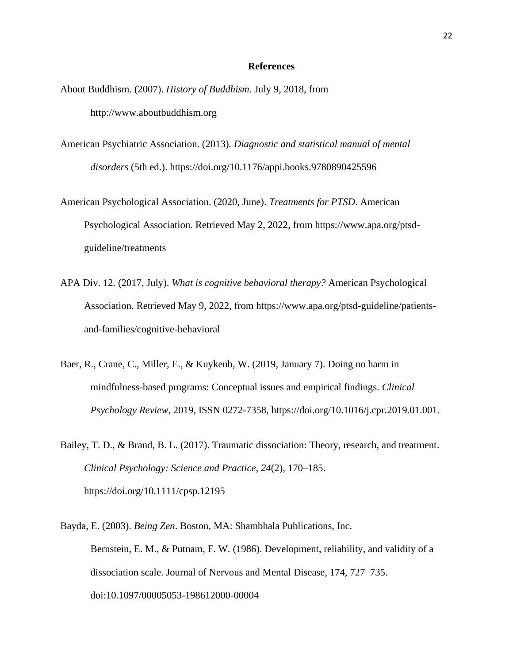#### **References**

- About Buddhism. (2007). *History of Buddhism*. July 9, 2018, from http://www.aboutbuddhism.org
- American Psychiatric Association. (2013). *Diagnostic and statistical manual of mental disorders* (5th ed.).<https://doi.org/10.1176/appi.books.9780890425596>
- American Psychological Association. (2020, June). *Treatments for PTSD*. American Psychological Association. Retrieved May 2, 2022, from https://www.apa.org/ptsdguideline/treatments
- APA Div. 12. (2017, July). *What is cognitive behavioral therapy?* American Psychological Association. Retrieved May 9, 2022, from https://www.apa.org/ptsd-guideline/patientsand-families/cognitive-behavioral
- Baer, R., Crane, C., Miller, E., & Kuykenb, W. (2019, January 7). Doing no harm in mindfulness-based programs: Conceptual issues and empirical findings. *Clinical Psychology Review*, 2019, ISSN 0272-7358, https://doi.org/10.1016/j.cpr.2019.01.001.
- Bailey, T. D., & Brand, B. L. (2017). Traumatic dissociation: Theory, research, and treatment. *Clinical Psychology: Science and Practice*, *24*(2), 170–185. https://doi.org/10.1111/cpsp.12195
- Bayda, E. (2003). *Being Zen*. Boston, MA: Shambhala Publications, Inc. Bernstein, E. M., & Putnam, F. W. (1986). Development, reliability, and validity of a dissociation scale. Journal of Nervous and Mental Disease, 174, 727–735. doi:10.1097/00005053-198612000-00004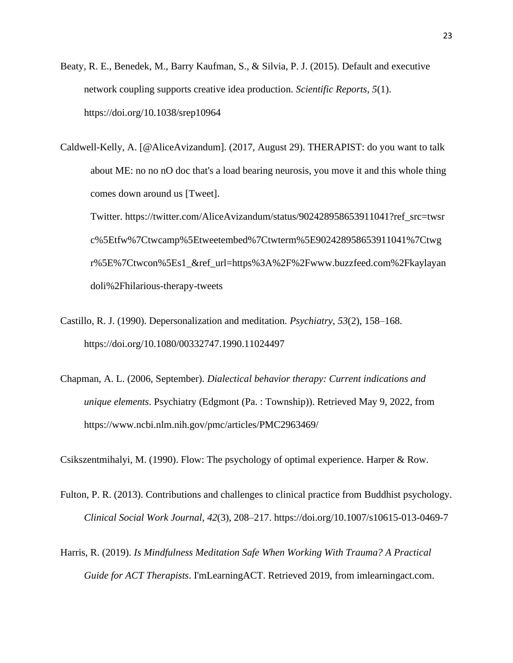- Beaty, R. E., Benedek, M., Barry Kaufman, S., & Silvia, P. J. (2015). Default and executive network coupling supports creative idea production. *Scientific Reports*, *5*(1). https://doi.org/10.1038/srep10964
- Caldwell-Kelly, A. [@AliceAvizandum]. (2017, August 29). THERAPIST: do you want to talk about ME: no no nO doc that's a load bearing neurosis, you move it and this whole thing comes down around us [Tweet].

Twitter. https://twitter.com/AliceAvizandum/status/902428958653911041?ref\_src=twsr c%5Etfw%7Ctwcamp%5Etweetembed%7Ctwterm%5E902428958653911041%7Ctwg r%5E%7Ctwcon%5Es1\_&ref\_url=https%3A%2F%2Fwww.buzzfeed.com%2Fkaylayan doli%2Fhilarious-therapy-tweets

- Castillo, R. J. (1990). Depersonalization and meditation. *Psychiatry*, *53*(2), 158–168. https://doi.org/10.1080/00332747.1990.11024497
- Chapman, A. L. (2006, September). *Dialectical behavior therapy: Current indications and unique elements*. Psychiatry (Edgmont (Pa. : Township)). Retrieved May 9, 2022, from https://www.ncbi.nlm.nih.gov/pmc/articles/PMC2963469/

Csikszentmihalyi, M. (1990). Flow: The psychology of optimal experience. Harper & Row.

- Fulton, P. R. (2013). Contributions and challenges to clinical practice from Buddhist psychology. *Clinical Social Work Journal*, *42*(3), 208–217. https://doi.org/10.1007/s10615-013-0469-7
- Harris, R. (2019). *Is Mindfulness Meditation Safe When Working With Trauma? A Practical Guide for ACT Therapists*. I'mLearningACT. Retrieved 2019, from imlearningact.com.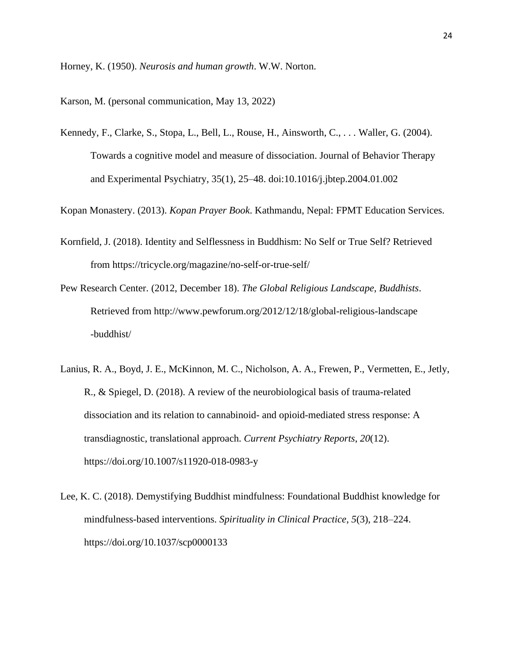Horney, K. (1950). *Neurosis and human growth*. W.W. Norton.

Karson, M. (personal communication, May 13, 2022)

Kennedy, F., Clarke, S., Stopa, L., Bell, L., Rouse, H., Ainsworth, C., . . . Waller, G. (2004). Towards a cognitive model and measure of dissociation. Journal of Behavior Therapy and Experimental Psychiatry, 35(1), 25–48. doi:10.1016/j.jbtep.2004.01.002

Kopan Monastery. (2013). *Kopan Prayer Book*. Kathmandu, Nepal: FPMT Education Services.

- Kornfield, J. (2018). Identity and Selflessness in Buddhism: No Self or True Self? Retrieved from https://tricycle.org/magazine/no-self-or-true-self/
- Pew Research Center. (2012, December 18). *The Global Religious Landscape, Buddhists*. Retrieved from http://www.pewforum.org/2012/12/18/global-religious-landscape -buddhist/
- Lanius, R. A., Boyd, J. E., McKinnon, M. C., Nicholson, A. A., Frewen, P., Vermetten, E., Jetly, R., & Spiegel, D. (2018). A review of the neurobiological basis of trauma-related dissociation and its relation to cannabinoid- and opioid-mediated stress response: A transdiagnostic, translational approach. *Current Psychiatry Reports*, *20*(12). https://doi.org/10.1007/s11920-018-0983-y
- Lee, K. C. (2018). Demystifying Buddhist mindfulness: Foundational Buddhist knowledge for mindfulness-based interventions. *Spirituality in Clinical Practice*, *5*(3), 218–224. https://doi.org/10.1037/scp0000133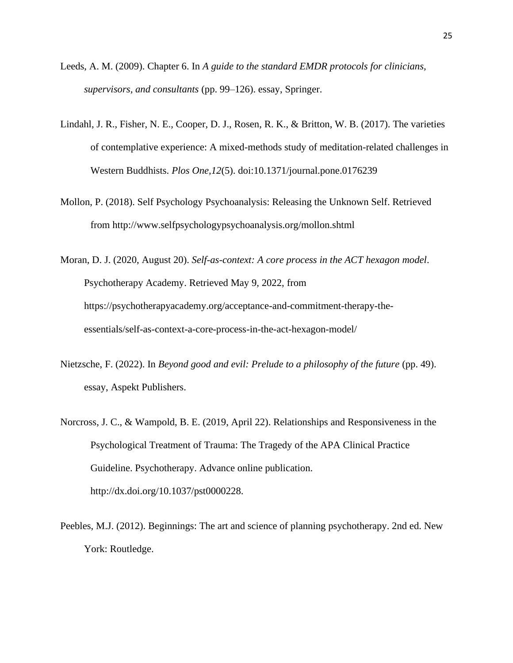- Leeds, A. M. (2009). Chapter 6. In *A guide to the standard EMDR protocols for clinicians, supervisors, and consultants* (pp. 99–126). essay, Springer.
- Lindahl, J. R., Fisher, N. E., Cooper, D. J., Rosen, R. K., & Britton, W. B. (2017). The varieties of contemplative experience: A mixed-methods study of meditation-related challenges in Western Buddhists. *Plos One,12*(5). doi:10.1371/journal.pone.0176239
- Mollon, P. (2018). Self Psychology Psychoanalysis: Releasing the Unknown Self. Retrieved from http://www.selfpsychologypsychoanalysis.org/mollon.shtml

Moran, D. J. (2020, August 20). *Self-as-context: A core process in the ACT hexagon model*. Psychotherapy Academy. Retrieved May 9, 2022, from https://psychotherapyacademy.org/acceptance-and-commitment-therapy-theessentials/self-as-context-a-core-process-in-the-act-hexagon-model/

- Nietzsche, F. (2022). In *Beyond good and evil: Prelude to a philosophy of the future* (pp. 49). essay, Aspekt Publishers.
- Norcross, J. C., & Wampold, B. E. (2019, April 22). Relationships and Responsiveness in the Psychological Treatment of Trauma: The Tragedy of the APA Clinical Practice Guideline. Psychotherapy. Advance online publication. http://dx.doi.org/10.1037/pst0000228.
- Peebles, M.J. (2012). Beginnings: The art and science of planning psychotherapy. 2nd ed. New York: Routledge.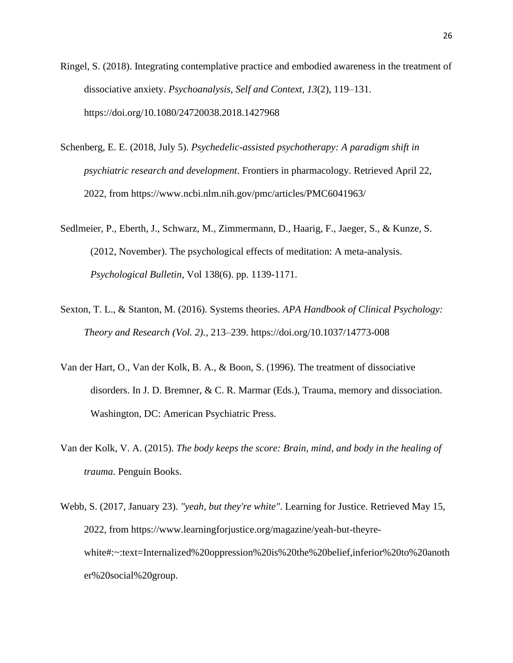- Ringel, S. (2018). Integrating contemplative practice and embodied awareness in the treatment of dissociative anxiety. *Psychoanalysis, Self and Context*, *13*(2), 119–131. https://doi.org/10.1080/24720038.2018.1427968
- Schenberg, E. E. (2018, July 5). *Psychedelic-assisted psychotherapy: A paradigm shift in psychiatric research and development*. Frontiers in pharmacology. Retrieved April 22, 2022, from https://www.ncbi.nlm.nih.gov/pmc/articles/PMC6041963/
- Sedlmeier, P., Eberth, J., Schwarz, M., Zimmermann, D., Haarig, F., Jaeger, S., & Kunze, S. (2012, November). The psychological effects of meditation: A meta-analysis. *Psychological Bulletin*, Vol 138(6). pp. 1139-1171.
- Sexton, T. L., & Stanton, M. (2016). Systems theories. *APA Handbook of Clinical Psychology: Theory and Research (Vol. 2).*, 213–239. https://doi.org/10.1037/14773-008
- Van der Hart, O., Van der Kolk, B. A., & Boon, S. (1996). The treatment of dissociative disorders. In J. D. Bremner, & C. R. Marmar (Eds.), Trauma, memory and dissociation. Washington, DC: American Psychiatric Press.
- Van der Kolk, V. A. (2015). *The body keeps the score: Brain, mind, and body in the healing of trauma*. Penguin Books.
- Webb, S. (2017, January 23). *"yeah, but they're white"*. Learning for Justice. Retrieved May 15, 2022, from https://www.learningforjustice.org/magazine/yeah-but-theyrewhite#:~:text=Internalized%20oppression%20is%20the%20belief,inferior%20to%20anoth er%20social%20group.